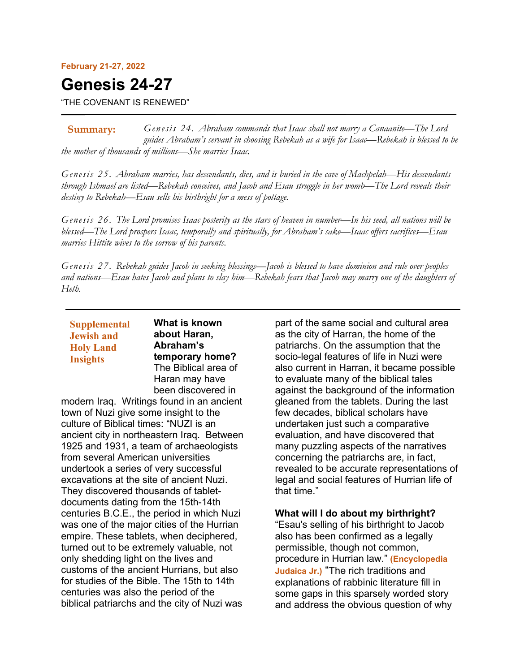#### **February 21-27, 2022**

# **Genesis 24-27**

"THE COVENANT IS RENEWED"

*Genesis 24. Abraham commands that Isaac shall not marry a Canaanite—The Lord guides Abraham's servant in choosing Rebekah as a wife for Isaac—Rebekah is blessed to be the mother of thousands of millions—She marries Isaac.* **Summary:**

*Genesis 25. Abraham marries, has descendants, dies, and is buried in the cave of Machpelah—His descendants through Ishmael are listed—Rebekah conceives, and Jacob and Esau struggle in her womb—The Lord reveals their destiny to Rebekah—Esau sells his birthright for a mess of pottage.*

*Genesis 26. The Lord promises Isaac posterity as the stars of heaven in number—In his seed, all nations will be blessed—The Lord prospers Isaac, temporally and spiritually, for Abraham's sake—Isaac offers sacrifices—Esau marries Hittite wives to the sorrow of his parents.*

*Genesis 27. Rebekah guides Jacob in seeking blessings—Jacob is blessed to have dominion and rule over peoples*  and nations—Esau hates Jacob and plans to slay him—Rebekah fears that Jacob may marry one of the daughters of *Heth.*

# **Supplemental Jewish and Holy Land Insights**

**What is known about Haran, Abraham's temporary home?** The Biblical area of Haran may have been discovered in

modern Iraq. Writings found in an ancient town of Nuzi give some insight to the culture of Biblical times: "NUZI is an ancient city in northeastern Iraq. Between 1925 and 1931, a team of archaeologists from several American universities undertook a series of very successful excavations at the site of ancient Nuzi. They discovered thousands of tabletdocuments dating from the 15th-14th centuries B.C.E., the period in which Nuzi was one of the major cities of the Hurrian empire. These tablets, when deciphered, turned out to be extremely valuable, not only shedding light on the lives and customs of the ancient Hurrians, but also for studies of the Bible. The 15th to 14th centuries was also the period of the biblical patriarchs and the city of Nuzi was

part of the same social and cultural area as the city of Harran, the home of the patriarchs. On the assumption that the socio-legal features of life in Nuzi were also current in Harran, it became possible to evaluate many of the biblical tales against the background of the information gleaned from the tablets. During the last few decades, biblical scholars have undertaken just such a comparative evaluation, and have discovered that many puzzling aspects of the narratives concerning the patriarchs are, in fact, revealed to be accurate representations of legal and social features of Hurrian life of that time."

## **What will I do about my birthright?**

"Esau's selling of his birthright to Jacob also has been confirmed as a legally permissible, though not common, procedure in Hurrian law." **(Encyclopedia Judaica Jr.)** "The rich traditions and explanations of rabbinic literature fill in some gaps in this sparsely worded story and address the obvious question of why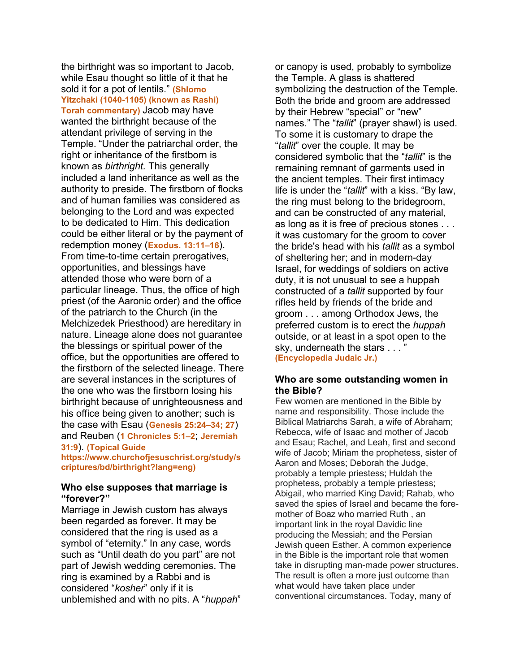the birthright was so important to Jacob, while Esau thought so little of it that he sold it for a pot of lentils." **(Shlomo Yitzchaki (1040-1105) (known as Rashi) Torah commentary)** Jacob may have wanted the birthright because of the attendant privilege of serving in the Temple. "Under the patriarchal order, the right or inheritance of the firstborn is known as *birthright.* This generally included a land inheritance as well as the authority to preside. The firstborn of flocks and of human families was considered as belonging to the Lord and was expected to be dedicated to Him. This dedication could be either literal or by the payment of redemption money (**Exodus. 13:11–16**). From time-to-time certain prerogatives, opportunities, and blessings have attended those who were born of a particular lineage. Thus, the office of high priest (of the Aaronic order) and the office of the patriarch to the Church (in the Melchizedek Priesthood) are hereditary in nature. Lineage alone does not guarantee the blessings or spiritual power of the office, but the opportunities are offered to the firstborn of the selected lineage. There are several instances in the scriptures of the one who was the firstborn losing his birthright because of unrighteousness and his office being given to another; such is the case with Esau (**Genesis 25:24–34; 27**) and Reuben (**1 Chronicles 5:1–2**; **Jeremiah 31:9**). **(Topical Guide** 

**https://www.churchofjesuschrist.org/study/s criptures/bd/birthright?lang=eng)**

#### **Who else supposes that marriage is "forever?"**

Marriage in Jewish custom has always been regarded as forever. It may be considered that the ring is used as a symbol of "eternity." In any case, words such as "Until death do you part" are not part of Jewish wedding ceremonies. The ring is examined by a Rabbi and is considered "*kosher*" only if it is unblemished and with no pits. A "*huppah*" or canopy is used, probably to symbolize the Temple. A glass is shattered symbolizing the destruction of the Temple. Both the bride and groom are addressed by their Hebrew "special" or "new" names." The "*tallit*" (prayer shawl) is used. To some it is customary to drape the "*tallit*" over the couple. It may be considered symbolic that the "*tallit*" is the remaining remnant of garments used in the ancient temples. Their first intimacy life is under the "*tallit*" with a kiss. "By law, the ring must belong to the bridegroom, and can be constructed of any material, as long as it is free of precious stones . . . it was customary for the groom to cover the bride's head with his *tallit* as a symbol of sheltering her; and in modern-day Israel, for weddings of soldiers on active duty, it is not unusual to see a huppah constructed of a *tallit* supported by four rifles held by friends of the bride and groom . . . among Orthodox Jews, the preferred custom is to erect the *huppah* outside, or at least in a spot open to the sky, underneath the stars . . . ' **(Encyclopedia Judaic Jr.)**

#### **Who are some outstanding women in the Bible?**

Few women are mentioned in the Bible by name and responsibility. Those include the Biblical Matriarchs Sarah, a wife of Abraham; Rebecca, wife of Isaac and mother of Jacob and Esau; Rachel, and Leah, first and second wife of Jacob; Miriam the prophetess, sister of Aaron and Moses; Deborah the Judge, probably a temple priestess; Huldah the prophetess, probably a temple priestess; Abigail, who married King David; Rahab, who saved the spies of Israel and became the foremother of Boaz who married Ruth , an important link in the royal Davidic line producing the Messiah; and the Persian Jewish queen Esther. A common experience in the Bible is the important role that women take in disrupting man-made power structures. The result is often a more just outcome than what would have taken place under conventional circumstances. Today, many of